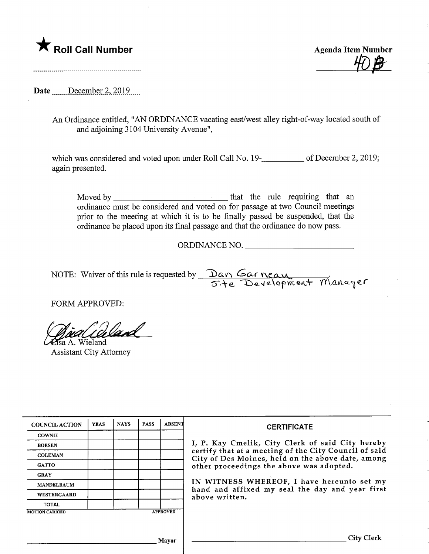

Date .......December 2, 2019.....

An Ordinance entitled, "AN ORDINANCE vacating east/west alley right-of-way located south of and adjoining 3104 University Avenue",

which was considered and voted upon under Roll Call No. 19-**\_\_\_\_\_\_\_\_\_\_** of December 2, 2019; again presented.

Moved by that the rule requiring that an ordinance must be considered and voted on for passage at two Council meetings prior to the meeting at which it is to be finally passed be suspended, that the ordinance be placed upon its final passage and that the ordinance do now pass.

ORDINANCE NO.

NOTE: Waiver of this rule is requested by  $\Box$  Dan Garneau S'te Development Manager

FORM APPROVED:

sa A. Wieland

Assistant City Attorney

| <b>COUNCIL ACTION</b> | <b>YEAS</b> | <b>NAYS</b> | <b>PASS</b> | <b>ABSENT</b>   | <b>CERTIFICATE</b>                                                                                                                                                                                         |  |  |
|-----------------------|-------------|-------------|-------------|-----------------|------------------------------------------------------------------------------------------------------------------------------------------------------------------------------------------------------------|--|--|
| <b>COWNIE</b>         |             |             |             |                 | I, P. Kay Cmelik, City Clerk of said City hereby<br>certify that at a meeting of the City Council of said<br>City of Des Moines, held on the above date, among<br>other proceedings the above was adopted. |  |  |
| <b>BOESEN</b>         |             |             |             |                 |                                                                                                                                                                                                            |  |  |
| <b>COLEMAN</b>        |             |             |             |                 |                                                                                                                                                                                                            |  |  |
| <b>GATTO</b>          |             |             |             |                 |                                                                                                                                                                                                            |  |  |
| <b>GRAY</b>           |             |             |             |                 | IN WITNESS WHEREOF, I have hereunto set my<br>hand and affixed my seal the day and year first                                                                                                              |  |  |
| <b>MANDELBAUM</b>     |             |             |             |                 |                                                                                                                                                                                                            |  |  |
| WESTERGAARD           |             |             |             |                 | above written.                                                                                                                                                                                             |  |  |
| TOTAL                 |             |             |             |                 |                                                                                                                                                                                                            |  |  |
| <b>MOTION CARRIED</b> |             |             |             | <b>APPROVED</b> |                                                                                                                                                                                                            |  |  |
|                       |             |             |             |                 |                                                                                                                                                                                                            |  |  |
| Mayor                 |             |             |             |                 | City Clerk                                                                                                                                                                                                 |  |  |